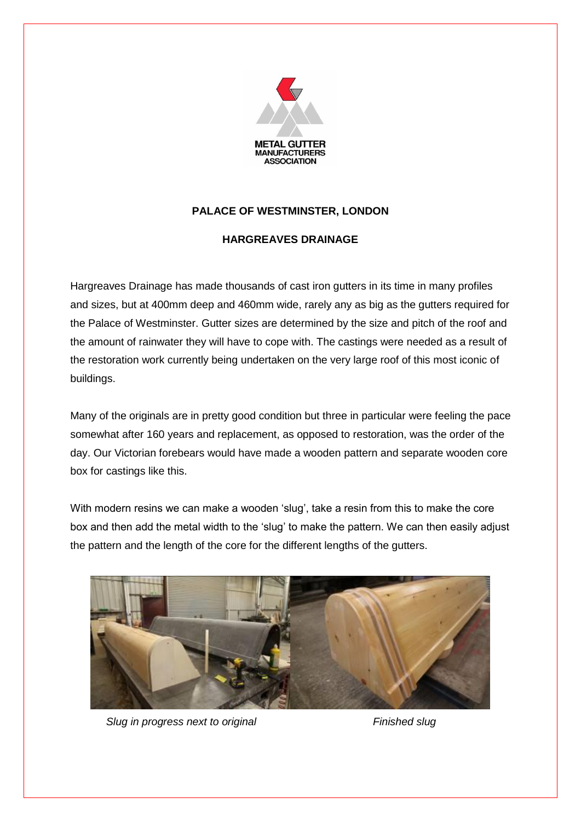

## **PALACE OF WESTMINSTER, LONDON**

## **HARGREAVES DRAINAGE**

Hargreaves Drainage has made thousands of cast iron gutters in its time in many profiles and sizes, but at 400mm deep and 460mm wide, rarely any as big as the gutters required for the Palace of Westminster. Gutter sizes are determined by the size and pitch of the roof and the amount of rainwater they will have to cope with. The castings were needed as a result of the restoration work currently being undertaken on the very large roof of this most iconic of buildings.

Many of the originals are in pretty good condition but three in particular were feeling the pace somewhat after 160 years and replacement, as opposed to restoration, was the order of the day. Our Victorian forebears would have made a wooden pattern and separate wooden core box for castings like this.

With modern resins we can make a wooden 'slug', take a resin from this to make the core box and then add the metal width to the 'slug' to make the pattern. We can then easily adjust the pattern and the length of the core for the different lengths of the gutters.



*Slug in progress next to original* Finished slug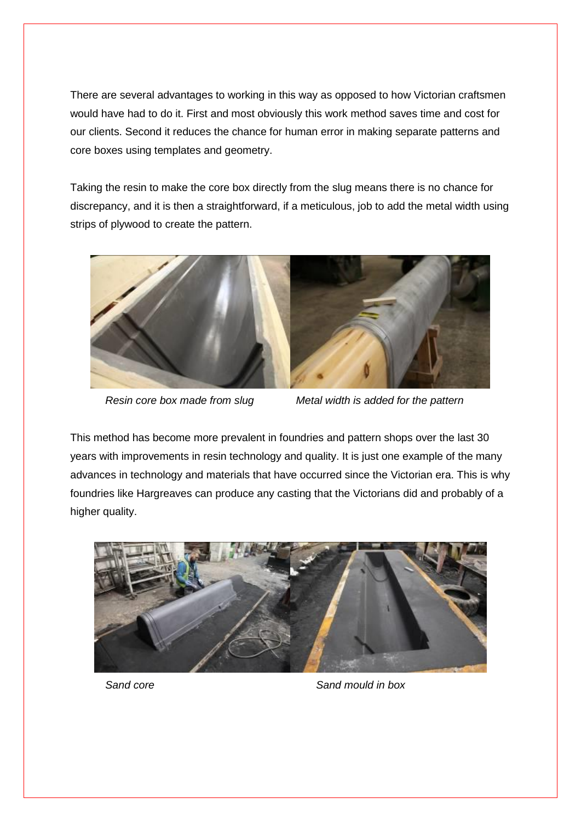There are several advantages to working in this way as opposed to how Victorian craftsmen would have had to do it. First and most obviously this work method saves time and cost for our clients. Second it reduces the chance for human error in making separate patterns and core boxes using templates and geometry.

Taking the resin to make the core box directly from the slug means there is no chance for discrepancy, and it is then a straightforward, if a meticulous, job to add the metal width using strips of plywood to create the pattern.



*Resin core box made from slug Metal width is added for the pattern*

This method has become more prevalent in foundries and pattern shops over the last 30 years with improvements in resin technology and quality. It is just one example of the many advances in technology and materials that have occurred since the Victorian era. This is why foundries like Hargreaves can produce any casting that the Victorians did and probably of a higher quality.



*Sand core Sand mould in box*